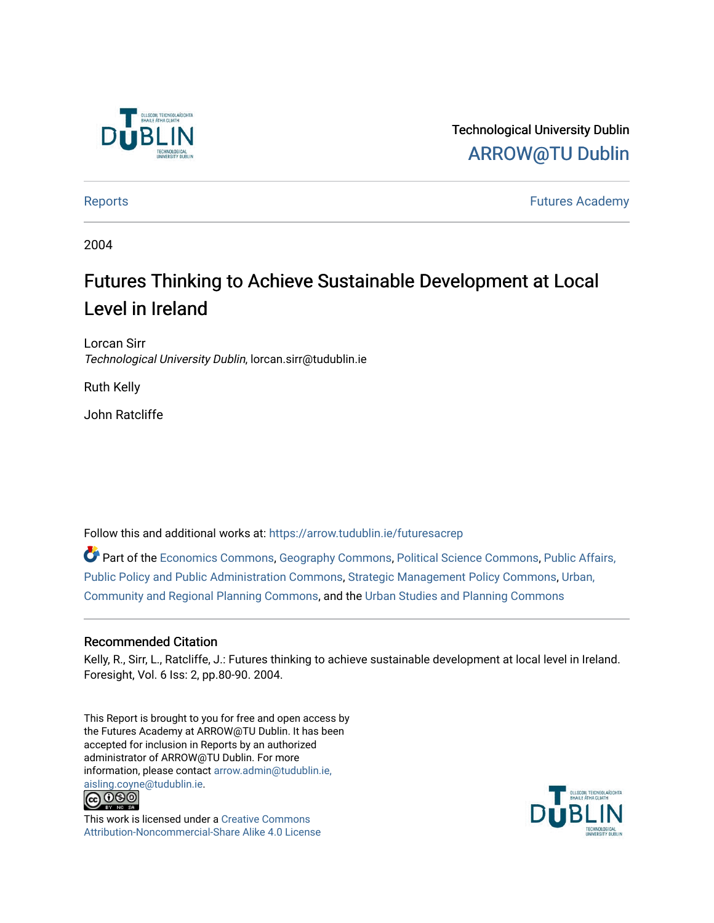

Technological University Dublin [ARROW@TU Dublin](https://arrow.tudublin.ie/) 

[Reports](https://arrow.tudublin.ie/futuresacrep) **Futures Academy** 

2004

# Futures Thinking to Achieve Sustainable Development at Local Level in Ireland

Lorcan Sirr Technological University Dublin, lorcan.sirr@tudublin.ie

Ruth Kelly

John Ratcliffe

Follow this and additional works at: [https://arrow.tudublin.ie/futuresacrep](https://arrow.tudublin.ie/futuresacrep?utm_source=arrow.tudublin.ie%2Ffuturesacrep%2F15&utm_medium=PDF&utm_campaign=PDFCoverPages)

Part of the [Economics Commons](http://network.bepress.com/hgg/discipline/340?utm_source=arrow.tudublin.ie%2Ffuturesacrep%2F15&utm_medium=PDF&utm_campaign=PDFCoverPages), [Geography Commons](http://network.bepress.com/hgg/discipline/354?utm_source=arrow.tudublin.ie%2Ffuturesacrep%2F15&utm_medium=PDF&utm_campaign=PDFCoverPages), [Political Science Commons](http://network.bepress.com/hgg/discipline/386?utm_source=arrow.tudublin.ie%2Ffuturesacrep%2F15&utm_medium=PDF&utm_campaign=PDFCoverPages), [Public Affairs,](http://network.bepress.com/hgg/discipline/393?utm_source=arrow.tudublin.ie%2Ffuturesacrep%2F15&utm_medium=PDF&utm_campaign=PDFCoverPages) [Public Policy and Public Administration Commons](http://network.bepress.com/hgg/discipline/393?utm_source=arrow.tudublin.ie%2Ffuturesacrep%2F15&utm_medium=PDF&utm_campaign=PDFCoverPages), [Strategic Management Policy Commons](http://network.bepress.com/hgg/discipline/642?utm_source=arrow.tudublin.ie%2Ffuturesacrep%2F15&utm_medium=PDF&utm_campaign=PDFCoverPages), [Urban,](http://network.bepress.com/hgg/discipline/776?utm_source=arrow.tudublin.ie%2Ffuturesacrep%2F15&utm_medium=PDF&utm_campaign=PDFCoverPages) [Community and Regional Planning Commons](http://network.bepress.com/hgg/discipline/776?utm_source=arrow.tudublin.ie%2Ffuturesacrep%2F15&utm_medium=PDF&utm_campaign=PDFCoverPages), and the [Urban Studies and Planning Commons](http://network.bepress.com/hgg/discipline/436?utm_source=arrow.tudublin.ie%2Ffuturesacrep%2F15&utm_medium=PDF&utm_campaign=PDFCoverPages)

## Recommended Citation

Kelly, R., Sirr, L., Ratcliffe, J.: Futures thinking to achieve sustainable development at local level in Ireland. Foresight, Vol. 6 Iss: 2, pp.80-90. 2004.

This Report is brought to you for free and open access by the Futures Academy at ARROW@TU Dublin. It has been accepted for inclusion in Reports by an authorized administrator of ARROW@TU Dublin. For more information, please contact [arrow.admin@tudublin.ie,](mailto:arrow.admin@tudublin.ie,%20aisling.coyne@tudublin.ie)  [aisling.coyne@tudublin.ie.](mailto:arrow.admin@tudublin.ie,%20aisling.coyne@tudublin.ie)<br>© 090



This work is licensed under a [Creative Commons](http://creativecommons.org/licenses/by-nc-sa/4.0/) [Attribution-Noncommercial-Share Alike 4.0 License](http://creativecommons.org/licenses/by-nc-sa/4.0/)

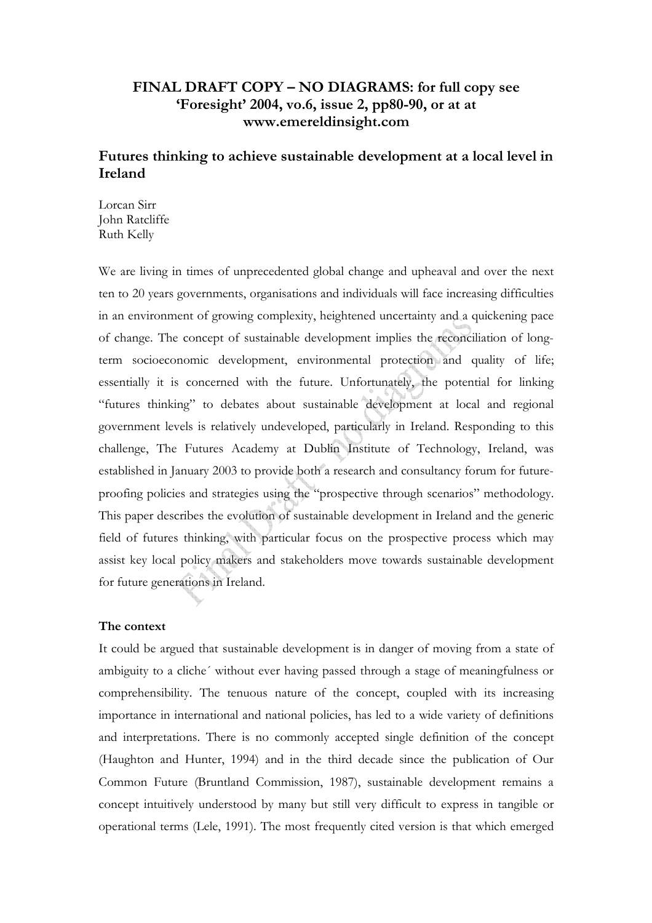# FINAL DRAFT COPY – NO DIAGRAMS: for full copy see 'Foresight' 2004, vo.6, issue 2, pp80-90, or at at www.emereldinsight.com

# Futures thinking to achieve sustainable development at a local level in Ireland

Lorcan Sirr John Ratcliffe Ruth Kelly

We are living in times of unprecedented global change and upheaval and over the next ten to 20 years governments, organisations and individuals will face increasing difficulties in an environment of growing complexity, heightened uncertainty and a quickening pace of change. The concept of sustainable development implies the reconciliation of longterm socioeconomic development, environmental protection and quality of life; essentially it is concerned with the future. Unfortunately, the potential for linking "futures thinking" to debates about sustainable development at local and regional government levels is relatively undeveloped, particularly in Ireland. Responding to this challenge, The Futures Academy at Dublin Institute of Technology, Ireland, was established in January 2003 to provide both a research and consultancy forum for futureproofing policies and strategies using the "prospective through scenarios" methodology. This paper describes the evolution of sustainable development in Ireland and the generic field of futures thinking, with particular focus on the prospective process which may assist key local policy makers and stakeholders move towards sustainable development for future generations in Ireland.

#### The context

It could be argued that sustainable development is in danger of moving from a state of ambiguity to a cliche´ without ever having passed through a stage of meaningfulness or comprehensibility. The tenuous nature of the concept, coupled with its increasing importance in international and national policies, has led to a wide variety of definitions and interpretations. There is no commonly accepted single definition of the concept (Haughton and Hunter, 1994) and in the third decade since the publication of Our Common Future (Bruntland Commission, 1987), sustainable development remains a concept intuitively understood by many but still very difficult to express in tangible or operational terms (Lele, 1991). The most frequently cited version is that which emerged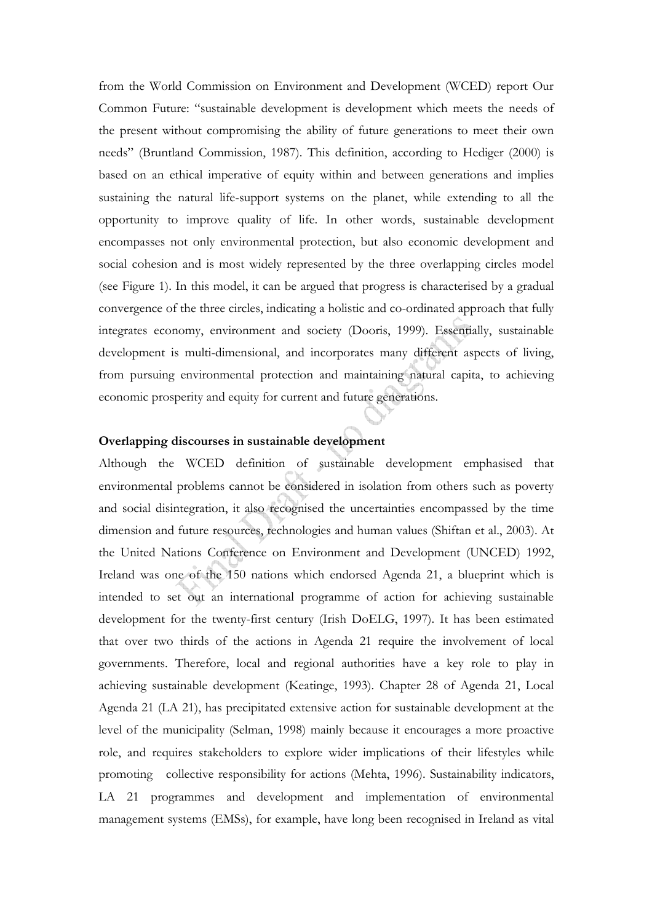from the World Commission on Environment and Development (WCED) report Our Common Future: "sustainable development is development which meets the needs of the present without compromising the ability of future generations to meet their own needs" (Bruntland Commission, 1987). This definition, according to Hediger (2000) is based on an ethical imperative of equity within and between generations and implies sustaining the natural life-support systems on the planet, while extending to all the opportunity to improve quality of life. In other words, sustainable development encompasses not only environmental protection, but also economic development and social cohesion and is most widely represented by the three overlapping circles model (see Figure 1). In this model, it can be argued that progress is characterised by a gradual convergence of the three circles, indicating a holistic and co-ordinated approach that fully integrates economy, environment and society (Dooris, 1999). Essentially, sustainable development is multi-dimensional, and incorporates many different aspects of living, from pursuing environmental protection and maintaining natural capita, to achieving economic prosperity and equity for current and future generations.

### Overlapping discourses in sustainable development

Although the WCED definition of sustainable development emphasised that environmental problems cannot be considered in isolation from others such as poverty and social disintegration, it also recognised the uncertainties encompassed by the time dimension and future resources, technologies and human values (Shiftan et al., 2003). At the United Nations Conference on Environment and Development (UNCED) 1992, Ireland was one of the 150 nations which endorsed Agenda 21, a blueprint which is intended to set out an international programme of action for achieving sustainable development for the twenty-first century (Irish DoELG, 1997). It has been estimated that over two thirds of the actions in Agenda 21 require the involvement of local governments. Therefore, local and regional authorities have a key role to play in achieving sustainable development (Keatinge, 1993). Chapter 28 of Agenda 21, Local Agenda 21 (LA 21), has precipitated extensive action for sustainable development at the level of the municipality (Selman, 1998) mainly because it encourages a more proactive role, and requires stakeholders to explore wider implications of their lifestyles while promoting collective responsibility for actions (Mehta, 1996). Sustainability indicators, LA 21 programmes and development and implementation of environmental management systems (EMSs), for example, have long been recognised in Ireland as vital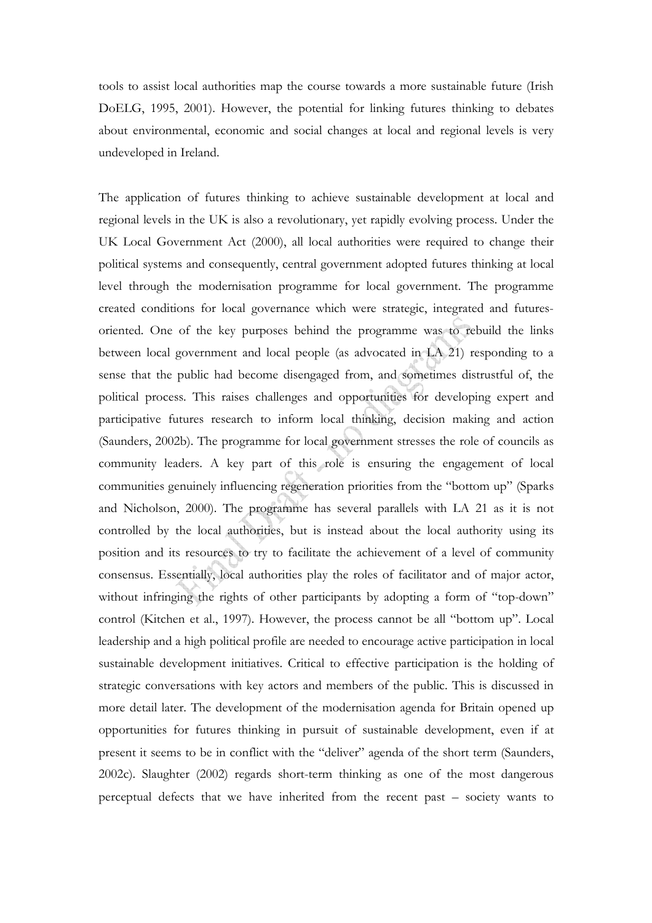tools to assist local authorities map the course towards a more sustainable future (Irish DoELG, 1995, 2001). However, the potential for linking futures thinking to debates about environmental, economic and social changes at local and regional levels is very undeveloped in Ireland.

The application of futures thinking to achieve sustainable development at local and regional levels in the UK is also a revolutionary, yet rapidly evolving process. Under the UK Local Government Act (2000), all local authorities were required to change their political systems and consequently, central government adopted futures thinking at local level through the modernisation programme for local government. The programme created conditions for local governance which were strategic, integrated and futuresoriented. One of the key purposes behind the programme was to rebuild the links between local government and local people (as advocated in LA 21) responding to a sense that the public had become disengaged from, and sometimes distrustful of, the political process. This raises challenges and opportunities for developing expert and participative futures research to inform local thinking, decision making and action (Saunders, 2002b). The programme for local government stresses the role of councils as community leaders. A key part of this role is ensuring the engagement of local communities genuinely influencing regeneration priorities from the "bottom up" (Sparks and Nicholson, 2000). The programme has several parallels with LA 21 as it is not controlled by the local authorities, but is instead about the local authority using its position and its resources to try to facilitate the achievement of a level of community consensus. Essentially, local authorities play the roles of facilitator and of major actor, without infringing the rights of other participants by adopting a form of "top-down" control (Kitchen et al., 1997). However, the process cannot be all "bottom up". Local leadership and a high political profile are needed to encourage active participation in local sustainable development initiatives. Critical to effective participation is the holding of strategic conversations with key actors and members of the public. This is discussed in more detail later. The development of the modernisation agenda for Britain opened up opportunities for futures thinking in pursuit of sustainable development, even if at present it seems to be in conflict with the "deliver" agenda of the short term (Saunders, 2002c). Slaughter (2002) regards short-term thinking as one of the most dangerous perceptual defects that we have inherited from the recent past – society wants to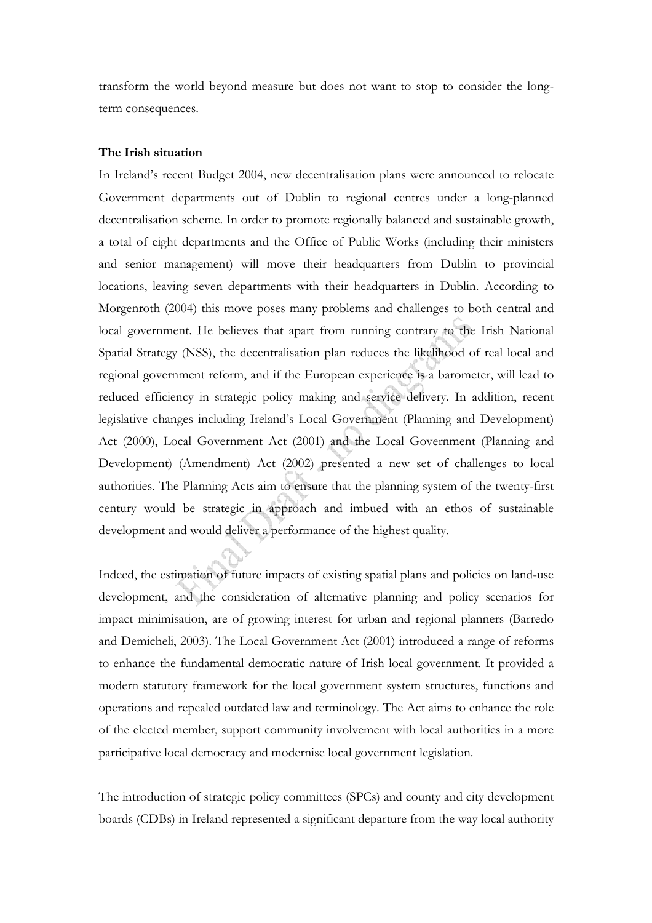transform the world beyond measure but does not want to stop to consider the longterm consequences.

#### The Irish situation

In Ireland's recent Budget 2004, new decentralisation plans were announced to relocate Government departments out of Dublin to regional centres under a long-planned decentralisation scheme. In order to promote regionally balanced and sustainable growth, a total of eight departments and the Office of Public Works (including their ministers and senior management) will move their headquarters from Dublin to provincial locations, leaving seven departments with their headquarters in Dublin. According to Morgenroth (2004) this move poses many problems and challenges to both central and local government. He believes that apart from running contrary to the Irish National Spatial Strategy (NSS), the decentralisation plan reduces the likelihood of real local and regional government reform, and if the European experience is a barometer, will lead to reduced efficiency in strategic policy making and service delivery. In addition, recent legislative changes including Ireland's Local Government (Planning and Development) Act (2000), Local Government Act (2001) and the Local Government (Planning and Development) (Amendment) Act (2002) presented a new set of challenges to local authorities. The Planning Acts aim to ensure that the planning system of the twenty-first century would be strategic in approach and imbued with an ethos of sustainable development and would deliver a performance of the highest quality.

Indeed, the estimation of future impacts of existing spatial plans and policies on land-use development, and the consideration of alternative planning and policy scenarios for impact minimisation, are of growing interest for urban and regional planners (Barredo and Demicheli, 2003). The Local Government Act (2001) introduced a range of reforms to enhance the fundamental democratic nature of Irish local government. It provided a modern statutory framework for the local government system structures, functions and operations and repealed outdated law and terminology. The Act aims to enhance the role of the elected member, support community involvement with local authorities in a more participative local democracy and modernise local government legislation.

The introduction of strategic policy committees (SPCs) and county and city development boards (CDBs) in Ireland represented a significant departure from the way local authority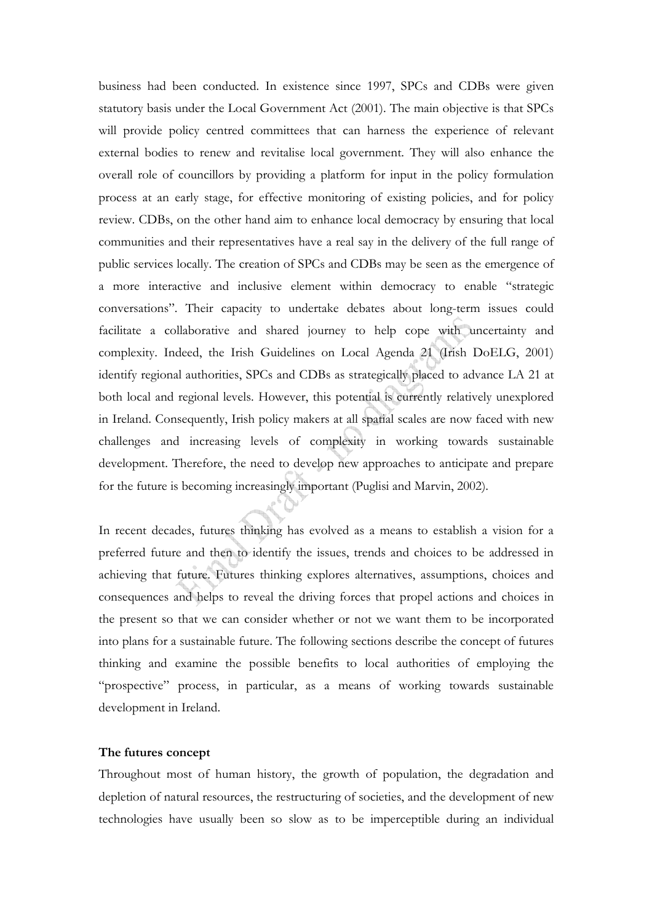business had been conducted. In existence since 1997, SPCs and CDBs were given statutory basis under the Local Government Act (2001). The main objective is that SPCs will provide policy centred committees that can harness the experience of relevant external bodies to renew and revitalise local government. They will also enhance the overall role of councillors by providing a platform for input in the policy formulation process at an early stage, for effective monitoring of existing policies, and for policy review. CDBs, on the other hand aim to enhance local democracy by ensuring that local communities and their representatives have a real say in the delivery of the full range of public services locally. The creation of SPCs and CDBs may be seen as the emergence of a more interactive and inclusive element within democracy to enable "strategic conversations". Their capacity to undertake debates about long-term issues could facilitate a collaborative and shared journey to help cope with uncertainty and complexity. Indeed, the Irish Guidelines on Local Agenda 21 (Irish DoELG, 2001) identify regional authorities, SPCs and CDBs as strategically placed to advance LA 21 at both local and regional levels. However, this potential is currently relatively unexplored in Ireland. Consequently, Irish policy makers at all spatial scales are now faced with new challenges and increasing levels of complexity in working towards sustainable development. Therefore, the need to develop new approaches to anticipate and prepare for the future is becoming increasingly important (Puglisi and Marvin, 2002).

In recent decades, futures thinking has evolved as a means to establish a vision for a preferred future and then to identify the issues, trends and choices to be addressed in achieving that future. Futures thinking explores alternatives, assumptions, choices and consequences and helps to reveal the driving forces that propel actions and choices in the present so that we can consider whether or not we want them to be incorporated into plans for a sustainable future. The following sections describe the concept of futures thinking and examine the possible benefits to local authorities of employing the "prospective" process, in particular, as a means of working towards sustainable development in Ireland.

#### The futures concept

Throughout most of human history, the growth of population, the degradation and depletion of natural resources, the restructuring of societies, and the development of new technologies have usually been so slow as to be imperceptible during an individual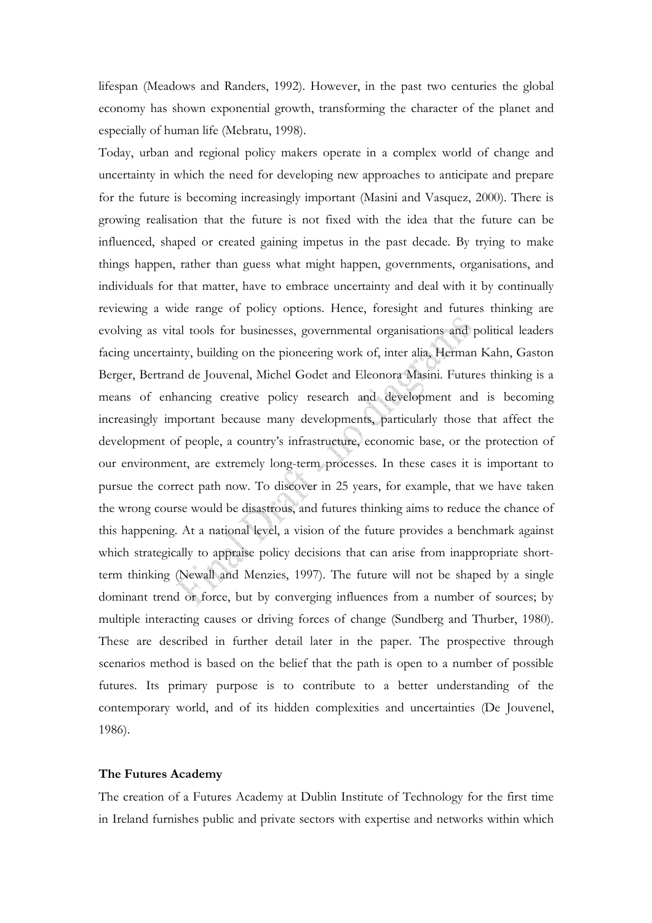lifespan (Meadows and Randers, 1992). However, in the past two centuries the global economy has shown exponential growth, transforming the character of the planet and especially of human life (Mebratu, 1998).

Today, urban and regional policy makers operate in a complex world of change and uncertainty in which the need for developing new approaches to anticipate and prepare for the future is becoming increasingly important (Masini and Vasquez, 2000). There is growing realisation that the future is not fixed with the idea that the future can be influenced, shaped or created gaining impetus in the past decade. By trying to make things happen, rather than guess what might happen, governments, organisations, and individuals for that matter, have to embrace uncertainty and deal with it by continually reviewing a wide range of policy options. Hence, foresight and futures thinking are evolving as vital tools for businesses, governmental organisations and political leaders facing uncertainty, building on the pioneering work of, inter alia, Herman Kahn, Gaston Berger, Bertrand de Jouvenal, Michel Godet and Eleonora Masini. Futures thinking is a means of enhancing creative policy research and development and is becoming increasingly important because many developments, particularly those that affect the development of people, a country's infrastructure, economic base, or the protection of our environment, are extremely long-term processes. In these cases it is important to pursue the correct path now. To discover in 25 years, for example, that we have taken the wrong course would be disastrous, and futures thinking aims to reduce the chance of this happening. At a national level, a vision of the future provides a benchmark against which strategically to appraise policy decisions that can arise from inappropriate shortterm thinking (Newall and Menzies, 1997). The future will not be shaped by a single dominant trend or force, but by converging influences from a number of sources; by multiple interacting causes or driving forces of change (Sundberg and Thurber, 1980). These are described in further detail later in the paper. The prospective through scenarios method is based on the belief that the path is open to a number of possible futures. Its primary purpose is to contribute to a better understanding of the contemporary world, and of its hidden complexities and uncertainties (De Jouvenel, 1986).

#### The Futures Academy

The creation of a Futures Academy at Dublin Institute of Technology for the first time in Ireland furnishes public and private sectors with expertise and networks within which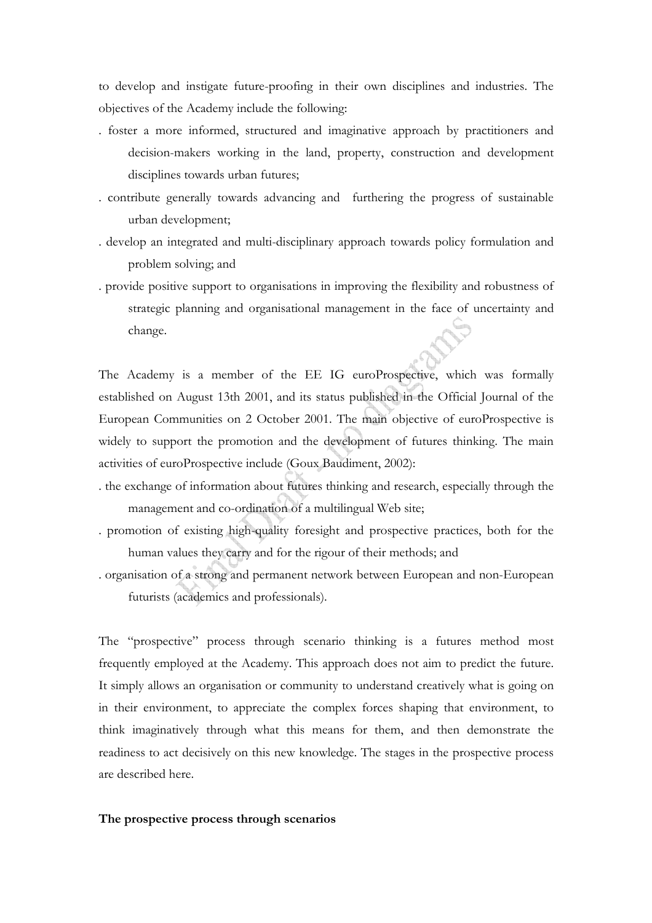to develop and instigate future-proofing in their own disciplines and industries. The objectives of the Academy include the following:

- . foster a more informed, structured and imaginative approach by practitioners and decision-makers working in the land, property, construction and development disciplines towards urban futures;
- . contribute generally towards advancing and furthering the progress of sustainable urban development;
- . develop an integrated and multi-disciplinary approach towards policy formulation and problem solving; and
- . provide positive support to organisations in improving the flexibility and robustness of strategic planning and organisational management in the face of uncertainty and change.

The Academy is a member of the EE IG euroProspective, which was formally established on August 13th 2001, and its status published in the Official Journal of the European Communities on 2 October 2001. The main objective of euroProspective is widely to support the promotion and the development of futures thinking. The main activities of euroProspective include (Goux Baudiment, 2002):

- . the exchange of information about futures thinking and research, especially through the management and co-ordination of a multilingual Web site;
- . promotion of existing high-quality foresight and prospective practices, both for the human values they carry and for the rigour of their methods; and
- . organisation of a strong and permanent network between European and non-European futurists (academics and professionals).

The "prospective" process through scenario thinking is a futures method most frequently employed at the Academy. This approach does not aim to predict the future. It simply allows an organisation or community to understand creatively what is going on in their environment, to appreciate the complex forces shaping that environment, to think imaginatively through what this means for them, and then demonstrate the readiness to act decisively on this new knowledge. The stages in the prospective process are described here.

#### The prospective process through scenarios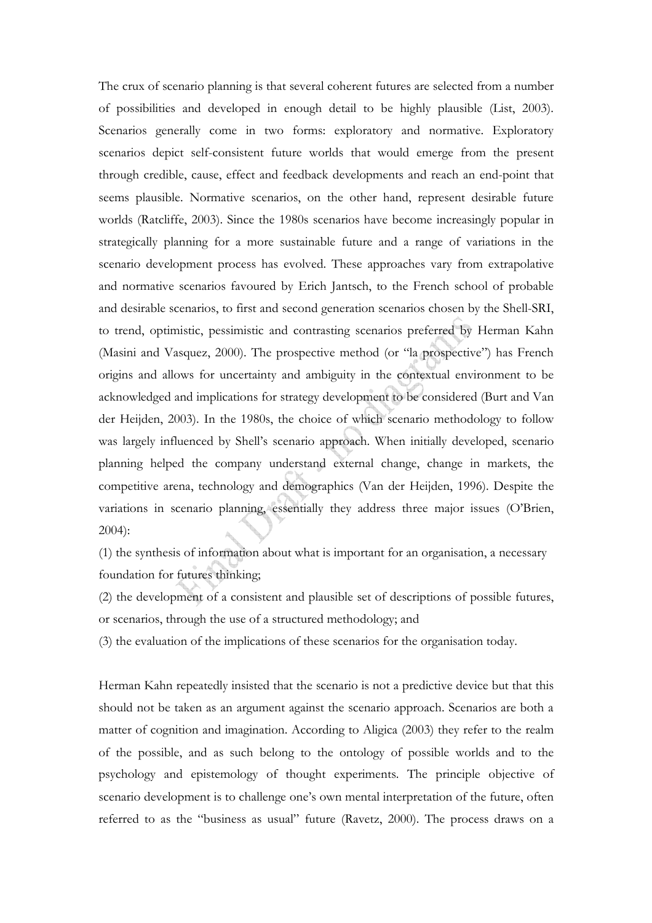The crux of scenario planning is that several coherent futures are selected from a number of possibilities and developed in enough detail to be highly plausible (List, 2003). Scenarios generally come in two forms: exploratory and normative. Exploratory scenarios depict self-consistent future worlds that would emerge from the present through credible, cause, effect and feedback developments and reach an end-point that seems plausible. Normative scenarios, on the other hand, represent desirable future worlds (Ratcliffe, 2003). Since the 1980s scenarios have become increasingly popular in strategically planning for a more sustainable future and a range of variations in the scenario development process has evolved. These approaches vary from extrapolative and normative scenarios favoured by Erich Jantsch, to the French school of probable and desirable scenarios, to first and second generation scenarios chosen by the Shell-SRI, to trend, optimistic, pessimistic and contrasting scenarios preferred by Herman Kahn (Masini and Vasquez, 2000). The prospective method (or "la prospective") has French origins and allows for uncertainty and ambiguity in the contextual environment to be acknowledged and implications for strategy development to be considered (Burt and Van der Heijden, 2003). In the 1980s, the choice of which scenario methodology to follow was largely influenced by Shell's scenario approach. When initially developed, scenario planning helped the company understand external change, change in markets, the competitive arena, technology and demographics (Van der Heijden, 1996). Despite the variations in scenario planning, essentially they address three major issues (O'Brien, 2004):

(1) the synthesis of information about what is important for an organisation, a necessary foundation for futures thinking;

(2) the development of a consistent and plausible set of descriptions of possible futures, or scenarios, through the use of a structured methodology; and

(3) the evaluation of the implications of these scenarios for the organisation today.

Herman Kahn repeatedly insisted that the scenario is not a predictive device but that this should not be taken as an argument against the scenario approach. Scenarios are both a matter of cognition and imagination. According to Aligica (2003) they refer to the realm of the possible, and as such belong to the ontology of possible worlds and to the psychology and epistemology of thought experiments. The principle objective of scenario development is to challenge one's own mental interpretation of the future, often referred to as the "business as usual" future (Ravetz, 2000). The process draws on a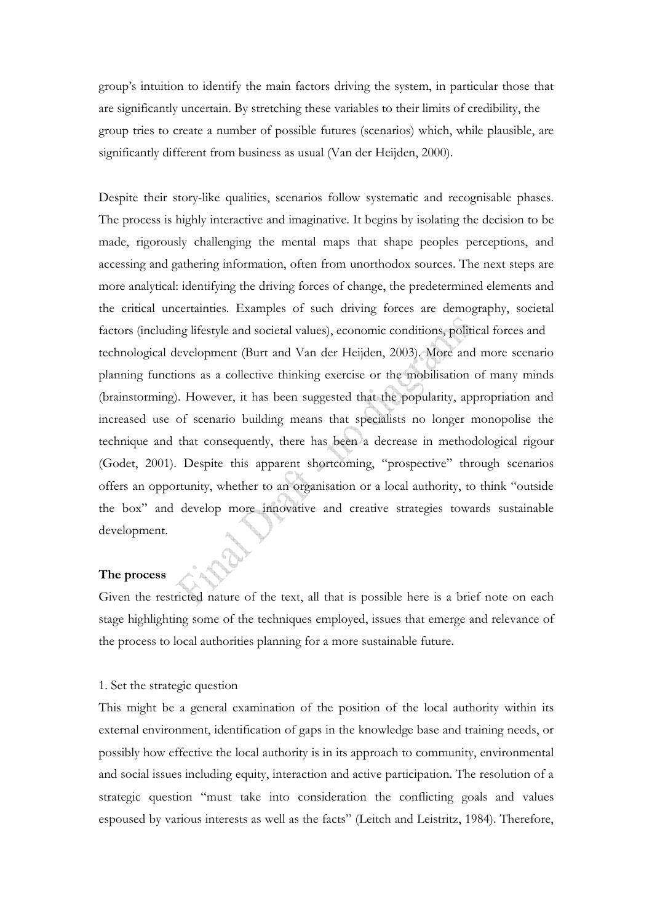group's intuition to identify the main factors driving the system, in particular those that are significantly uncertain. By stretching these variables to their limits of credibility, the group tries to create a number of possible futures (scenarios) which, while plausible, are significantly different from business as usual (Van der Heijden, 2000).

Despite their story-like qualities, scenarios follow systematic and recognisable phases. The process is highly interactive and imaginative. It begins by isolating the decision to be made, rigorously challenging the mental maps that shape peoples perceptions, and accessing and gathering information, often from unorthodox sources. The next steps are more analytical: identifying the driving forces of change, the predetermined elements and the critical uncertainties. Examples of such driving forces are demography, societal factors (including lifestyle and societal values), economic conditions, political forces and technological development (Burt and Van der Heijden, 2003). More and more scenario planning functions as a collective thinking exercise or the mobilisation of many minds (brainstorming). However, it has been suggested that the popularity, appropriation and increased use of scenario building means that specialists no longer monopolise the technique and that consequently, there has been a decrease in methodological rigour (Godet, 2001). Despite this apparent shortcoming, "prospective" through scenarios offers an opportunity, whether to an organisation or a local authority, to think "outside the box" and develop more innovative and creative strategies towards sustainable development.

#### The process

Given the restricted nature of the text, all that is possible here is a brief note on each stage highlighting some of the techniques employed, issues that emerge and relevance of the process to local authorities planning for a more sustainable future.

#### 1. Set the strategic question

This might be a general examination of the position of the local authority within its external environment, identification of gaps in the knowledge base and training needs, or possibly how effective the local authority is in its approach to community, environmental and social issues including equity, interaction and active participation. The resolution of a strategic question "must take into consideration the conflicting goals and values espoused by various interests as well as the facts" (Leitch and Leistritz, 1984). Therefore,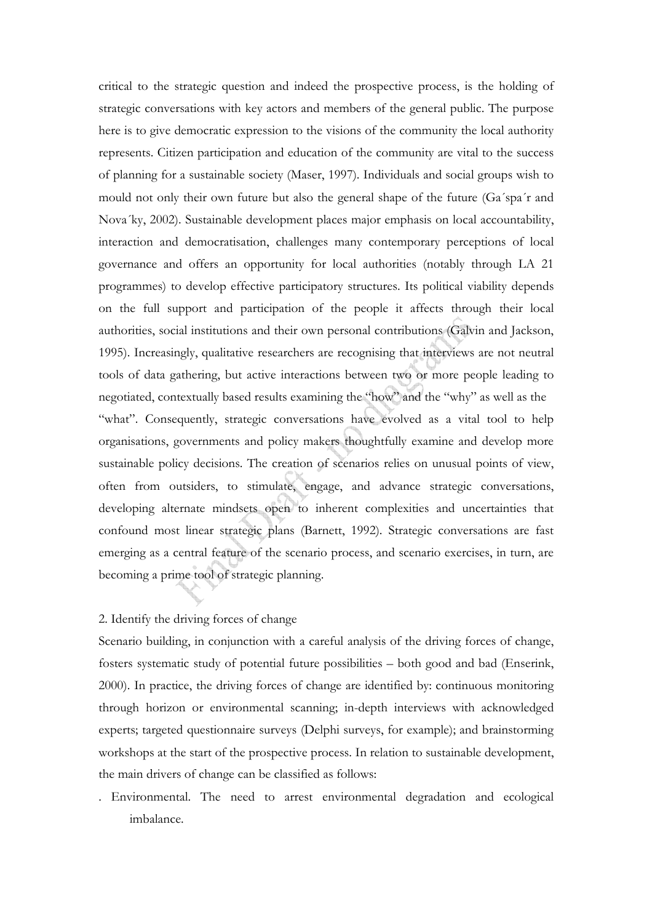critical to the strategic question and indeed the prospective process, is the holding of strategic conversations with key actors and members of the general public. The purpose here is to give democratic expression to the visions of the community the local authority represents. Citizen participation and education of the community are vital to the success of planning for a sustainable society (Maser, 1997). Individuals and social groups wish to mould not only their own future but also the general shape of the future (Ga´spa´r and Nova´ky, 2002). Sustainable development places major emphasis on local accountability, interaction and democratisation, challenges many contemporary perceptions of local governance and offers an opportunity for local authorities (notably through LA 21 programmes) to develop effective participatory structures. Its political viability depends on the full support and participation of the people it affects through their local authorities, social institutions and their own personal contributions (Galvin and Jackson, 1995). Increasingly, qualitative researchers are recognising that interviews are not neutral tools of data gathering, but active interactions between two or more people leading to negotiated, contextually based results examining the "how" and the "why" as well as the "what". Consequently, strategic conversations have evolved as a vital tool to help organisations, governments and policy makers thoughtfully examine and develop more sustainable policy decisions. The creation of scenarios relies on unusual points of view, often from outsiders, to stimulate, engage, and advance strategic conversations, developing alternate mindsets open to inherent complexities and uncertainties that confound most linear strategic plans (Barnett, 1992). Strategic conversations are fast emerging as a central feature of the scenario process, and scenario exercises, in turn, are becoming a prime tool of strategic planning.

# 2. Identify the driving forces of change

Scenario building, in conjunction with a careful analysis of the driving forces of change, fosters systematic study of potential future possibilities – both good and bad (Enserink, 2000). In practice, the driving forces of change are identified by: continuous monitoring through horizon or environmental scanning; in-depth interviews with acknowledged experts; targeted questionnaire surveys (Delphi surveys, for example); and brainstorming workshops at the start of the prospective process. In relation to sustainable development, the main drivers of change can be classified as follows:

. Environmental. The need to arrest environmental degradation and ecological imbalance.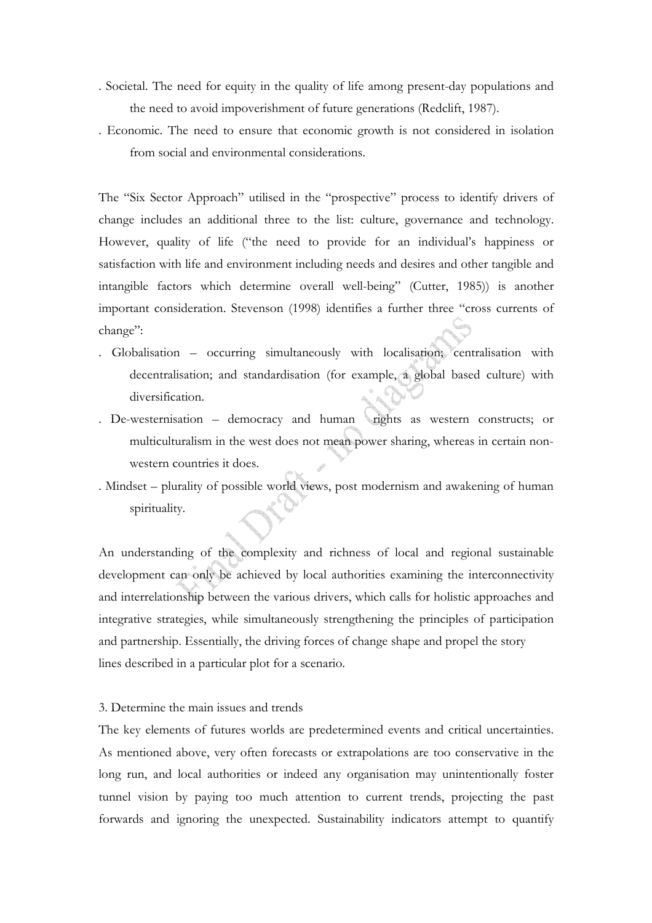- . Societal. The need for equity in the quality of life among present-day populations and the need to avoid impoverishment of future generations (Redclift, 1987).
- . Economic. The need to ensure that economic growth is not considered in isolation from social and environmental considerations.

The "Six Sector Approach" utilised in the "prospective" process to identify drivers of change includes an additional three to the list: culture, governance and technology. However, quality of life ("the need to provide for an individual's happiness or satisfaction with life and environment including needs and desires and other tangible and intangible factors which determine overall well-being" (Cutter, 1985)) is another important consideration. Stevenson (1998) identifies a further three "cross currents of change":

- . Globalisation occurring simultaneously with localisation; centralisation with decentralisation; and standardisation (for example, a global based culture) with diversification.
- . De-westernisation democracy and human rights as western constructs; or multiculturalism in the west does not mean power sharing, whereas in certain nonwestern countries it does.
- . Mindset plurality of possible world views, post modernism and awakening of human spirituality.

An understanding of the complexity and richness of local and regional sustainable development can only be achieved by local authorities examining the interconnectivity and interrelationship between the various drivers, which calls for holistic approaches and integrative strategies, while simultaneously strengthening the principles of participation and partnership. Essentially, the driving forces of change shape and propel the story lines described in a particular plot for a scenario.

#### 3. Determine the main issues and trends

The key elements of futures worlds are predetermined events and critical uncertainties. As mentioned above, very often forecasts or extrapolations are too conservative in the long run, and local authorities or indeed any organisation may unintentionally foster tunnel vision by paying too much attention to current trends, projecting the past forwards and ignoring the unexpected. Sustainability indicators attempt to quantify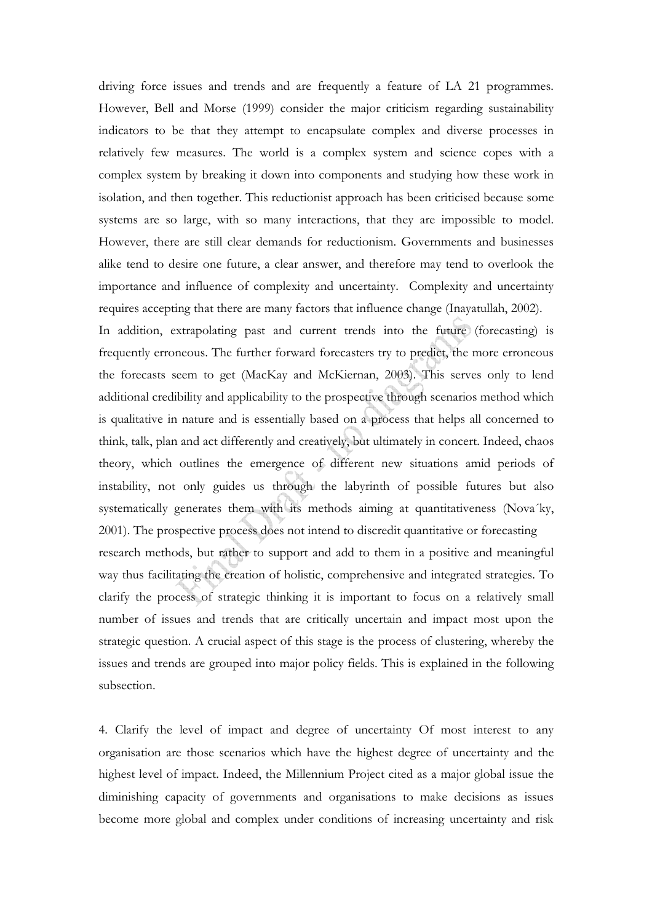driving force issues and trends and are frequently a feature of LA 21 programmes. However, Bell and Morse (1999) consider the major criticism regarding sustainability indicators to be that they attempt to encapsulate complex and diverse processes in relatively few measures. The world is a complex system and science copes with a complex system by breaking it down into components and studying how these work in isolation, and then together. This reductionist approach has been criticised because some systems are so large, with so many interactions, that they are impossible to model. However, there are still clear demands for reductionism. Governments and businesses alike tend to desire one future, a clear answer, and therefore may tend to overlook the importance and influence of complexity and uncertainty. Complexity and uncertainty requires accepting that there are many factors that influence change (Inayatullah, 2002).

In addition, extrapolating past and current trends into the future (forecasting) is frequently erroneous. The further forward forecasters try to predict, the more erroneous the forecasts seem to get (MacKay and McKiernan, 2003). This serves only to lend additional credibility and applicability to the prospective through scenarios method which is qualitative in nature and is essentially based on a process that helps all concerned to think, talk, plan and act differently and creatively, but ultimately in concert. Indeed, chaos theory, which outlines the emergence of different new situations amid periods of instability, not only guides us through the labyrinth of possible futures but also systematically generates them with its methods aiming at quantitativeness (Nova´ky, 2001). The prospective process does not intend to discredit quantitative or forecasting research methods, but rather to support and add to them in a positive and meaningful way thus facilitating the creation of holistic, comprehensive and integrated strategies. To clarify the process of strategic thinking it is important to focus on a relatively small number of issues and trends that are critically uncertain and impact most upon the strategic question. A crucial aspect of this stage is the process of clustering, whereby the issues and trends are grouped into major policy fields. This is explained in the following subsection.

4. Clarify the level of impact and degree of uncertainty Of most interest to any organisation are those scenarios which have the highest degree of uncertainty and the highest level of impact. Indeed, the Millennium Project cited as a major global issue the diminishing capacity of governments and organisations to make decisions as issues become more global and complex under conditions of increasing uncertainty and risk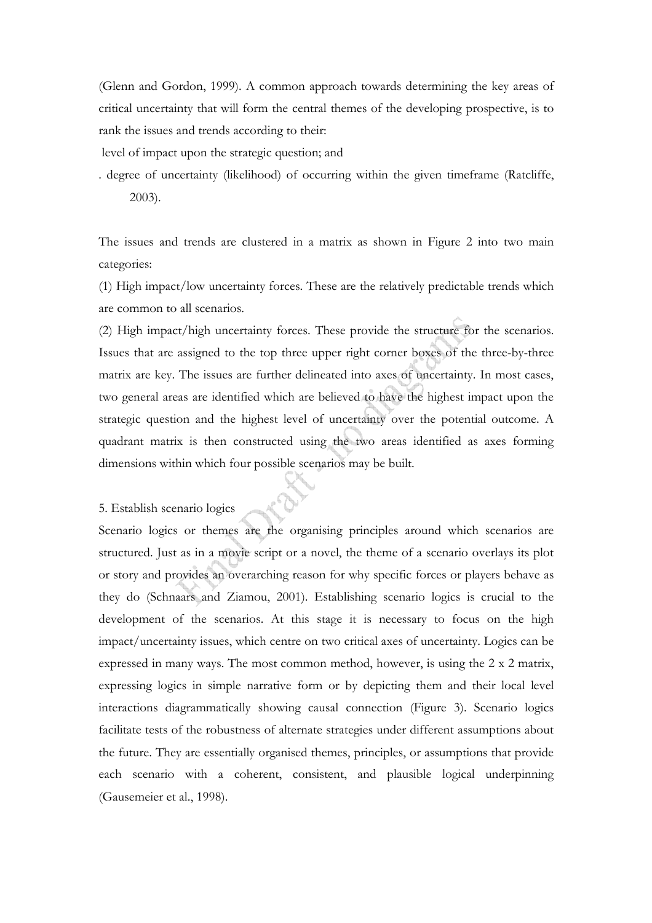(Glenn and Gordon, 1999). A common approach towards determining the key areas of critical uncertainty that will form the central themes of the developing prospective, is to rank the issues and trends according to their:

level of impact upon the strategic question; and

. degree of uncertainty (likelihood) of occurring within the given timeframe (Ratcliffe, 2003).

The issues and trends are clustered in a matrix as shown in Figure 2 into two main categories:

(1) High impact/low uncertainty forces. These are the relatively predictable trends which are common to all scenarios.

(2) High impact/high uncertainty forces. These provide the structure for the scenarios. Issues that are assigned to the top three upper right corner boxes of the three-by-three matrix are key. The issues are further delineated into axes of uncertainty. In most cases, two general areas are identified which are believed to have the highest impact upon the strategic question and the highest level of uncertainty over the potential outcome. A quadrant matrix is then constructed using the two areas identified as axes forming dimensions within which four possible scenarios may be built.

5. Establish scenario logics

Scenario logics or themes are the organising principles around which scenarios are structured. Just as in a movie script or a novel, the theme of a scenario overlays its plot or story and provides an overarching reason for why specific forces or players behave as they do (Schnaars and Ziamou, 2001). Establishing scenario logics is crucial to the development of the scenarios. At this stage it is necessary to focus on the high impact/uncertainty issues, which centre on two critical axes of uncertainty. Logics can be expressed in many ways. The most common method, however, is using the 2 x 2 matrix, expressing logics in simple narrative form or by depicting them and their local level interactions diagrammatically showing causal connection (Figure 3). Scenario logics facilitate tests of the robustness of alternate strategies under different assumptions about the future. They are essentially organised themes, principles, or assumptions that provide each scenario with a coherent, consistent, and plausible logical underpinning (Gausemeier et al., 1998).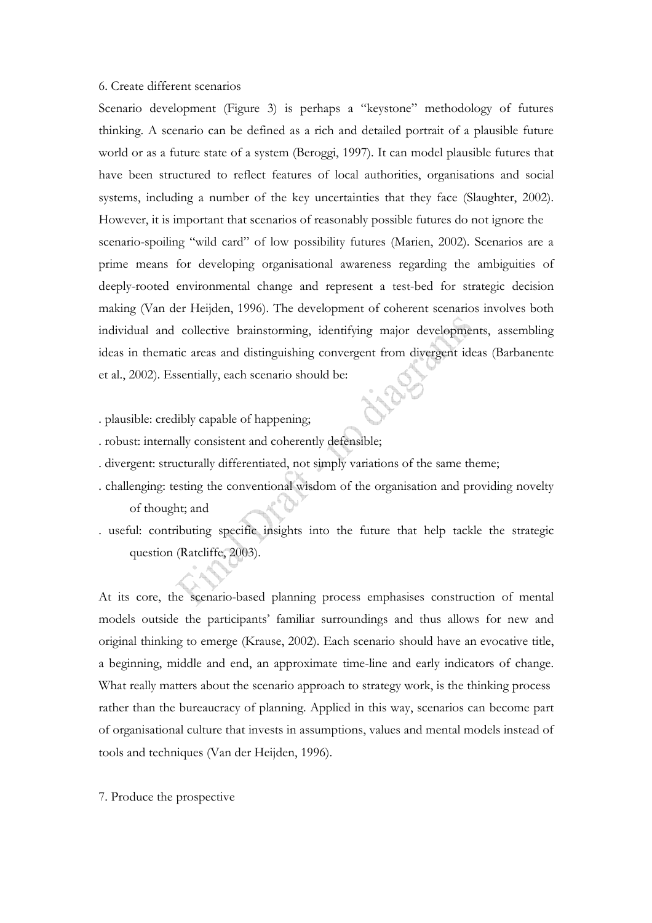#### 6. Create different scenarios

Scenario development (Figure 3) is perhaps a "keystone" methodology of futures thinking. A scenario can be defined as a rich and detailed portrait of a plausible future world or as a future state of a system (Beroggi, 1997). It can model plausible futures that have been structured to reflect features of local authorities, organisations and social systems, including a number of the key uncertainties that they face (Slaughter, 2002). However, it is important that scenarios of reasonably possible futures do not ignore the scenario-spoiling "wild card" of low possibility futures (Marien, 2002). Scenarios are a prime means for developing organisational awareness regarding the ambiguities of deeply-rooted environmental change and represent a test-bed for strategic decision making (Van der Heijden, 1996). The development of coherent scenarios involves both individual and collective brainstorming, identifying major developments, assembling ideas in thematic areas and distinguishing convergent from divergent ideas (Barbanente et al., 2002). Essentially, each scenario should be: inger

- . plausible: credibly capable of happening;
- . robust: internally consistent and coherently defensible;
- . divergent: structurally differentiated, not simply variations of the same theme;
- . challenging: testing the conventional wisdom of the organisation and providing novelty of thought; and
- . useful: contributing specific insights into the future that help tackle the strategic question (Ratcliffe, 2003).

At its core, the scenario-based planning process emphasises construction of mental models outside the participants' familiar surroundings and thus allows for new and original thinking to emerge (Krause, 2002). Each scenario should have an evocative title, a beginning, middle and end, an approximate time-line and early indicators of change. What really matters about the scenario approach to strategy work, is the thinking process rather than the bureaucracy of planning. Applied in this way, scenarios can become part of organisational culture that invests in assumptions, values and mental models instead of tools and techniques (Van der Heijden, 1996).

7. Produce the prospective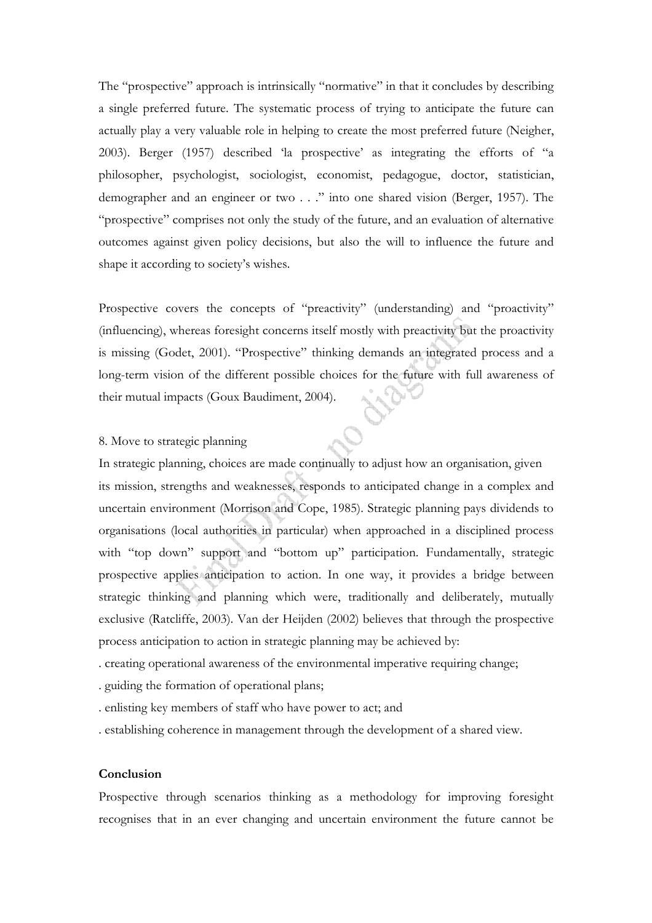The "prospective" approach is intrinsically "normative" in that it concludes by describing a single preferred future. The systematic process of trying to anticipate the future can actually play a very valuable role in helping to create the most preferred future (Neigher, 2003). Berger (1957) described 'la prospective' as integrating the efforts of "a philosopher, psychologist, sociologist, economist, pedagogue, doctor, statistician, demographer and an engineer or two . . ." into one shared vision (Berger, 1957). The "prospective" comprises not only the study of the future, and an evaluation of alternative outcomes against given policy decisions, but also the will to influence the future and shape it according to society's wishes.

Prospective covers the concepts of "preactivity" (understanding) and "proactivity" (influencing), whereas foresight concerns itself mostly with preactivity but the proactivity is missing (Godet, 2001). "Prospective" thinking demands an integrated process and a long-term vision of the different possible choices for the future with full awareness of their mutual impacts (Goux Baudiment, 2004).

#### 8. Move to strategic planning

In strategic planning, choices are made continually to adjust how an organisation, given its mission, strengths and weaknesses, responds to anticipated change in a complex and uncertain environment (Morrison and Cope, 1985). Strategic planning pays dividends to organisations (local authorities in particular) when approached in a disciplined process with "top down" support and "bottom up" participation. Fundamentally, strategic prospective applies anticipation to action. In one way, it provides a bridge between strategic thinking and planning which were, traditionally and deliberately, mutually exclusive (Ratcliffe, 2003). Van der Heijden (2002) believes that through the prospective process anticipation to action in strategic planning may be achieved by:

- . creating operational awareness of the environmental imperative requiring change;
- . guiding the formation of operational plans;
- . enlisting key members of staff who have power to act; and
- . establishing coherence in management through the development of a shared view.

#### Conclusion

Prospective through scenarios thinking as a methodology for improving foresight recognises that in an ever changing and uncertain environment the future cannot be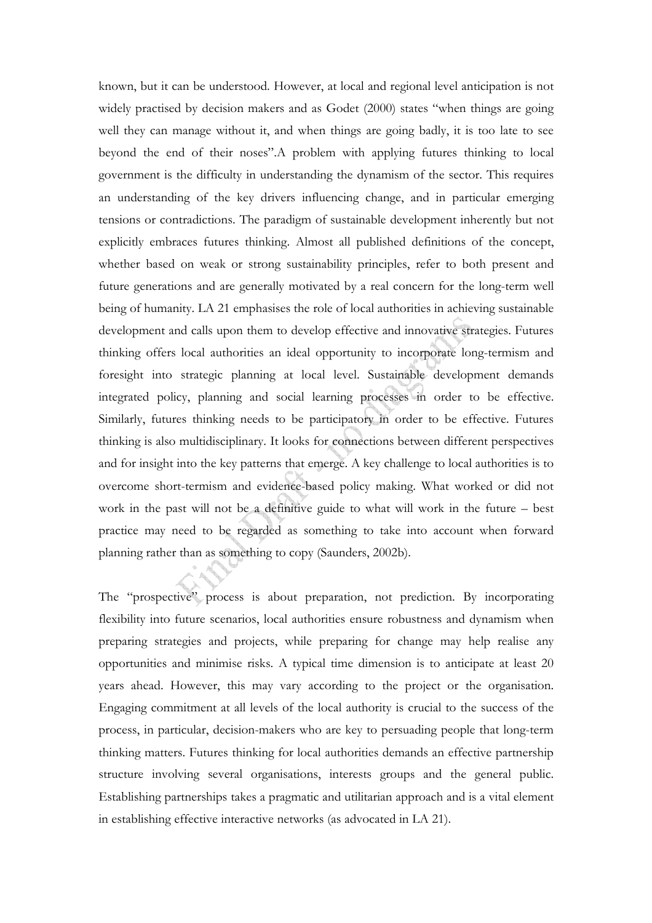known, but it can be understood. However, at local and regional level anticipation is not widely practised by decision makers and as Godet (2000) states "when things are going well they can manage without it, and when things are going badly, it is too late to see beyond the end of their noses".A problem with applying futures thinking to local government is the difficulty in understanding the dynamism of the sector. This requires an understanding of the key drivers influencing change, and in particular emerging tensions or contradictions. The paradigm of sustainable development inherently but not explicitly embraces futures thinking. Almost all published definitions of the concept, whether based on weak or strong sustainability principles, refer to both present and future generations and are generally motivated by a real concern for the long-term well being of humanity. LA 21 emphasises the role of local authorities in achieving sustainable development and calls upon them to develop effective and innovative strategies. Futures thinking offers local authorities an ideal opportunity to incorporate long-termism and foresight into strategic planning at local level. Sustainable development demands integrated policy, planning and social learning processes in order to be effective. Similarly, futures thinking needs to be participatory in order to be effective. Futures thinking is also multidisciplinary. It looks for connections between different perspectives and for insight into the key patterns that emerge. A key challenge to local authorities is to overcome short-termism and evidence-based policy making. What worked or did not work in the past will not be a definitive guide to what will work in the future – best practice may need to be regarded as something to take into account when forward planning rather than as something to copy (Saunders, 2002b).

The "prospective" process is about preparation, not prediction. By incorporating flexibility into future scenarios, local authorities ensure robustness and dynamism when preparing strategies and projects, while preparing for change may help realise any opportunities and minimise risks. A typical time dimension is to anticipate at least 20 years ahead. However, this may vary according to the project or the organisation. Engaging commitment at all levels of the local authority is crucial to the success of the process, in particular, decision-makers who are key to persuading people that long-term thinking matters. Futures thinking for local authorities demands an effective partnership structure involving several organisations, interests groups and the general public. Establishing partnerships takes a pragmatic and utilitarian approach and is a vital element in establishing effective interactive networks (as advocated in LA 21).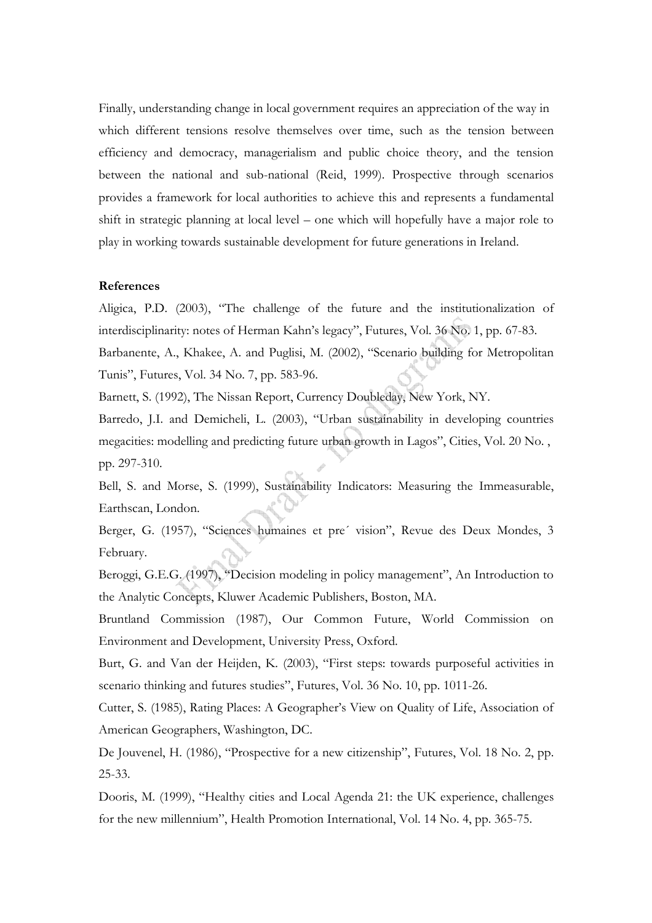Finally, understanding change in local government requires an appreciation of the way in which different tensions resolve themselves over time, such as the tension between efficiency and democracy, managerialism and public choice theory, and the tension between the national and sub-national (Reid, 1999). Prospective through scenarios provides a framework for local authorities to achieve this and represents a fundamental shift in strategic planning at local level – one which will hopefully have a major role to play in working towards sustainable development for future generations in Ireland.

#### References

Aligica, P.D. (2003), "The challenge of the future and the institutionalization of interdisciplinarity: notes of Herman Kahn's legacy", Futures, Vol. 36 No. 1, pp. 67-83. Barbanente, A., Khakee, A. and Puglisi, M. (2002), "Scenario building for Metropolitan Tunis", Futures, Vol. 34 No. 7, pp. 583-96.

Barnett, S. (1992), The Nissan Report, Currency Doubleday, New York, NY.

Barredo, J.I. and Demicheli, L. (2003), "Urban sustainability in developing countries megacities: modelling and predicting future urban growth in Lagos", Cities, Vol. 20 No. , pp. 297-310.

Bell, S. and Morse, S. (1999), Sustainability Indicators: Measuring the Immeasurable, Earthscan, London.

Berger, G. (1957), "Sciences humaines et pre´ vision", Revue des Deux Mondes, 3 February.

Beroggi, G.E.G. (1997), "Decision modeling in policy management", An Introduction to the Analytic Concepts, Kluwer Academic Publishers, Boston, MA.

Bruntland Commission (1987), Our Common Future, World Commission on Environment and Development, University Press, Oxford.

Burt, G. and Van der Heijden, K. (2003), "First steps: towards purposeful activities in scenario thinking and futures studies", Futures, Vol. 36 No. 10, pp. 1011-26.

Cutter, S. (1985), Rating Places: A Geographer's View on Quality of Life, Association of American Geographers, Washington, DC.

De Jouvenel, H. (1986), "Prospective for a new citizenship", Futures, Vol. 18 No. 2, pp. 25-33.

Dooris, M. (1999), "Healthy cities and Local Agenda 21: the UK experience, challenges for the new millennium", Health Promotion International, Vol. 14 No. 4, pp. 365-75.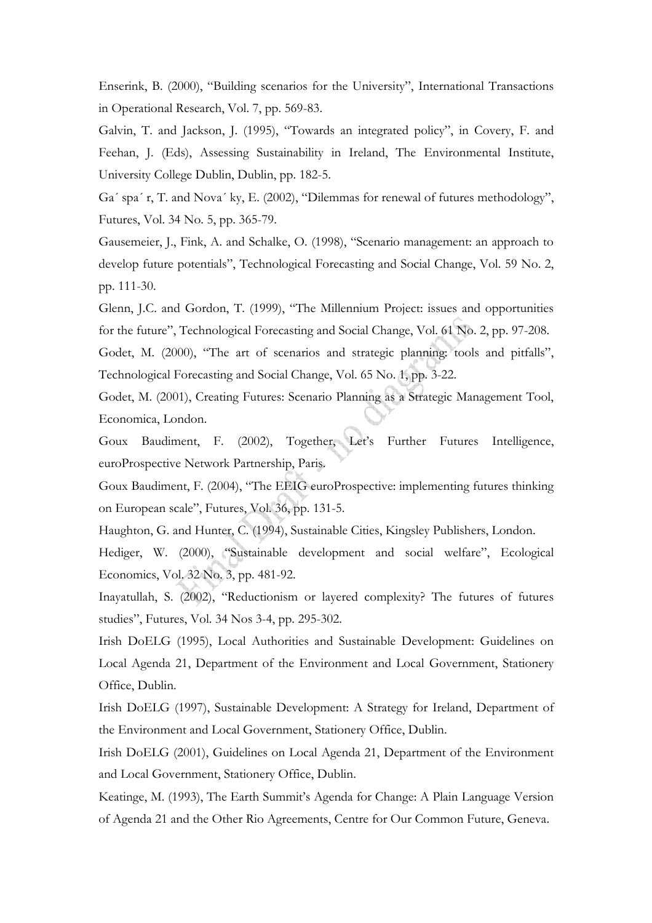Enserink, B. (2000), "Building scenarios for the University", International Transactions in Operational Research, Vol. 7, pp. 569-83.

Galvin, T. and Jackson, J. (1995), "Towards an integrated policy", in Covery, F. and Feehan, J. (Eds), Assessing Sustainability in Ireland, The Environmental Institute, University College Dublin, Dublin, pp. 182-5.

Ga´ spa´ r, T. and Nova´ ky, E. (2002), "Dilemmas for renewal of futures methodology", Futures, Vol. 34 No. 5, pp. 365-79.

Gausemeier, J., Fink, A. and Schalke, O. (1998), "Scenario management: an approach to develop future potentials", Technological Forecasting and Social Change, Vol. 59 No. 2, pp. 111-30.

Glenn, J.C. and Gordon, T. (1999), "The Millennium Project: issues and opportunities for the future", Technological Forecasting and Social Change, Vol. 61 No. 2, pp. 97-208.

Godet, M. (2000), "The art of scenarios and strategic planning: tools and pitfalls", Technological Forecasting and Social Change, Vol. 65 No. 1, pp. 3-22.

Godet, M. (2001), Creating Futures: Scenario Planning as a Strategic Management Tool, Economica, London.

Goux Baudiment, F. (2002), Together, Let's Further Futures Intelligence, euroProspective Network Partnership, Paris.

Goux Baudiment, F. (2004), "The EEIG euroProspective: implementing futures thinking on European scale", Futures, Vol. 36, pp. 131-5.

Haughton, G. and Hunter, C. (1994), Sustainable Cities, Kingsley Publishers, London.

Hediger, W. (2000), "Sustainable development and social welfare", Ecological Economics, Vol. 32 No. 3, pp. 481-92.

Inayatullah, S. (2002), "Reductionism or layered complexity? The futures of futures studies", Futures, Vol. 34 Nos 3-4, pp. 295-302.

Irish DoELG (1995), Local Authorities and Sustainable Development: Guidelines on Local Agenda 21, Department of the Environment and Local Government, Stationery Office, Dublin.

Irish DoELG (1997), Sustainable Development: A Strategy for Ireland, Department of the Environment and Local Government, Stationery Office, Dublin.

Irish DoELG (2001), Guidelines on Local Agenda 21, Department of the Environment and Local Government, Stationery Office, Dublin.

Keatinge, M. (1993), The Earth Summit's Agenda for Change: A Plain Language Version of Agenda 21 and the Other Rio Agreements, Centre for Our Common Future, Geneva.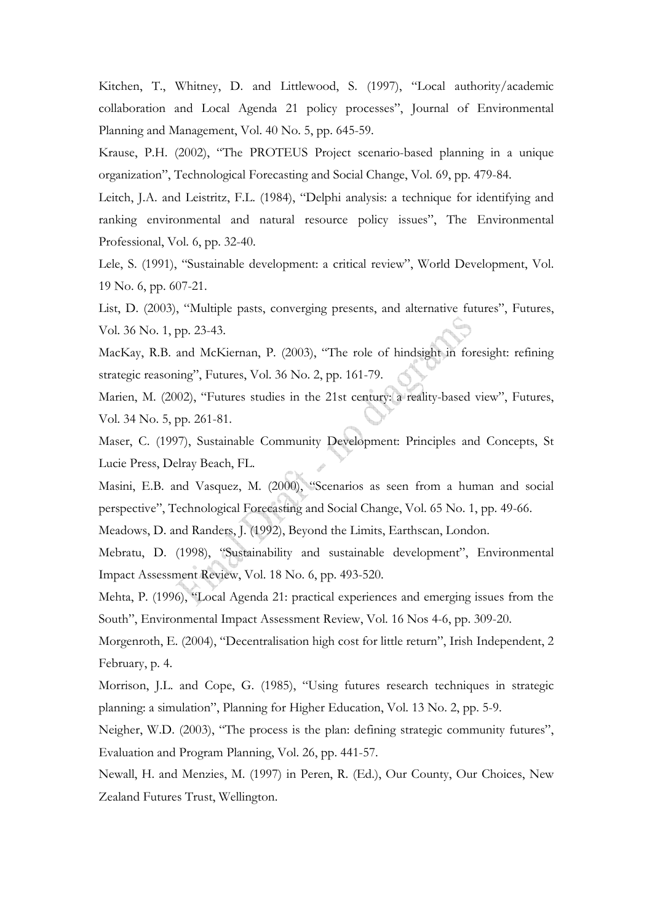Kitchen, T., Whitney, D. and Littlewood, S. (1997), "Local authority/academic collaboration and Local Agenda 21 policy processes", Journal of Environmental Planning and Management, Vol. 40 No. 5, pp. 645-59.

Krause, P.H. (2002), "The PROTEUS Project scenario-based planning in a unique organization", Technological Forecasting and Social Change, Vol. 69, pp. 479-84.

Leitch, J.A. and Leistritz, F.L. (1984), "Delphi analysis: a technique for identifying and ranking environmental and natural resource policy issues", The Environmental Professional, Vol. 6, pp. 32-40.

Lele, S. (1991), "Sustainable development: a critical review", World Development, Vol. 19 No. 6, pp. 607-21.

List, D. (2003), "Multiple pasts, converging presents, and alternative futures", Futures, Vol. 36 No. 1, pp. 23-43.

MacKay, R.B. and McKiernan, P. (2003), "The role of hindsight in foresight: refining strategic reasoning", Futures, Vol. 36 No. 2, pp. 161-79.

Marien, M. (2002), "Futures studies in the 21st century: a reality-based view", Futures, Vol. 34 No. 5, pp. 261-81.

Maser, C. (1997), Sustainable Community Development: Principles and Concepts, St Lucie Press, Delray Beach, FL.

Masini, E.B. and Vasquez, M. (2000), "Scenarios as seen from a human and social perspective", Technological Forecasting and Social Change, Vol. 65 No. 1, pp. 49-66.

Meadows, D. and Randers, J. (1992), Beyond the Limits, Earthscan, London.

Mebratu, D. (1998), "Sustainability and sustainable development", Environmental Impact Assessment Review, Vol. 18 No. 6, pp. 493-520.

Mehta, P. (1996), "Local Agenda 21: practical experiences and emerging issues from the South", Environmental Impact Assessment Review, Vol. 16 Nos 4-6, pp. 309-20.

Morgenroth, E. (2004), "Decentralisation high cost for little return", Irish Independent, 2 February, p. 4.

Morrison, J.L. and Cope, G. (1985), "Using futures research techniques in strategic planning: a simulation", Planning for Higher Education, Vol. 13 No. 2, pp. 5-9.

Neigher, W.D. (2003), "The process is the plan: defining strategic community futures", Evaluation and Program Planning, Vol. 26, pp. 441-57.

Newall, H. and Menzies, M. (1997) in Peren, R. (Ed.), Our County, Our Choices, New Zealand Futures Trust, Wellington.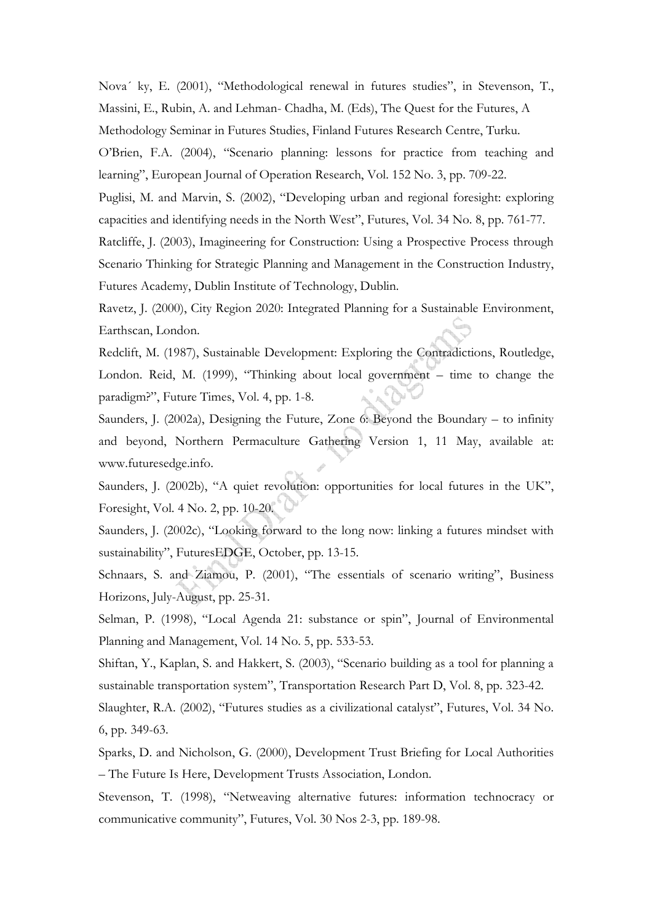Nova´ ky, E. (2001), "Methodological renewal in futures studies", in Stevenson, T., Massini, E., Rubin, A. and Lehman- Chadha, M. (Eds), The Quest for the Futures, A Methodology Seminar in Futures Studies, Finland Futures Research Centre, Turku.

O'Brien, F.A. (2004), "Scenario planning: lessons for practice from teaching and learning", European Journal of Operation Research, Vol. 152 No. 3, pp. 709-22.

Puglisi, M. and Marvin, S. (2002), "Developing urban and regional foresight: exploring capacities and identifying needs in the North West", Futures, Vol. 34 No. 8, pp. 761-77. Ratcliffe, J. (2003), Imagineering for Construction: Using a Prospective Process through Scenario Thinking for Strategic Planning and Management in the Construction Industry, Futures Academy, Dublin Institute of Technology, Dublin.

Ravetz, J. (2000), City Region 2020: Integrated Planning for a Sustainable Environment, Earthscan, London.

Redclift, M. (1987), Sustainable Development: Exploring the Contradictions, Routledge, London. Reid, M. (1999), "Thinking about local government – time to change the paradigm?", Future Times, Vol. 4, pp. 1-8.

Saunders, J. (2002a), Designing the Future, Zone 6: Beyond the Boundary – to infinity and beyond, Northern Permaculture Gathering Version 1, 11 May, available at: www.futuresedge.info.

Saunders, J. (2002b), "A quiet revolution: opportunities for local futures in the UK", Foresight, Vol. 4 No. 2, pp. 10-20.

Saunders, J. (2002c), "Looking forward to the long now: linking a futures mindset with sustainability", FuturesEDGE, October, pp. 13-15.

Schnaars, S. and Ziamou, P. (2001), "The essentials of scenario writing", Business Horizons, July-August, pp. 25-31.

Selman, P. (1998), "Local Agenda 21: substance or spin", Journal of Environmental Planning and Management, Vol. 14 No. 5, pp. 533-53.

Shiftan, Y., Kaplan, S. and Hakkert, S. (2003), "Scenario building as a tool for planning a sustainable transportation system", Transportation Research Part D, Vol. 8, pp. 323-42.

Slaughter, R.A. (2002), "Futures studies as a civilizational catalyst", Futures, Vol. 34 No. 6, pp. 349-63.

Sparks, D. and Nicholson, G. (2000), Development Trust Briefing for Local Authorities – The Future Is Here, Development Trusts Association, London.

Stevenson, T. (1998), "Netweaving alternative futures: information technocracy or communicative community", Futures, Vol. 30 Nos 2-3, pp. 189-98.